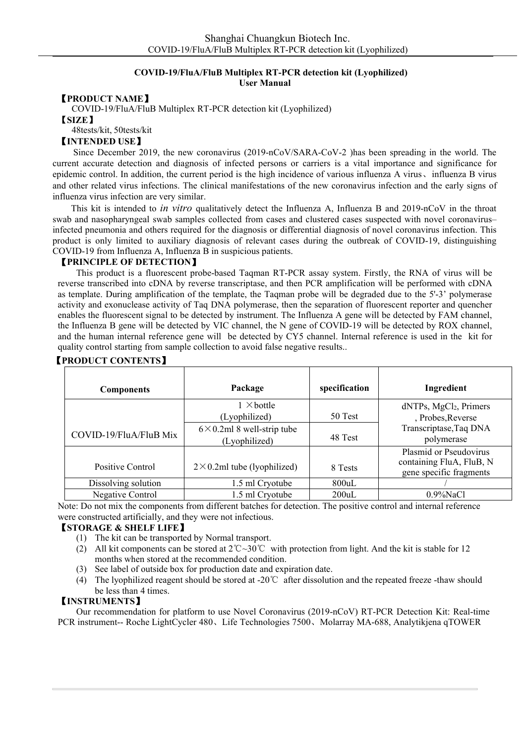### **COVID-19/FluA/FluB Multiplex RT-PCR detection kit (Lyophilized) User Manual**

## 【**PRODUCT NAME**】

COVID-19/FluA/FluB Multiplex RT-PCR detection kit (Lyophilized) 【**SIZE**】

48tests/kit, 50tests/kit

#### 【**INTENDED USE**】

Since December 2019, the new coronavirus (2019-nCoV/SARA-CoV-2 )has been spreading in the world. The current accurate detection and diagnosis of infected persons or carriers is a vital importance and significance for epidemic control. In addition, the current period is the high incidence of various influenza A virus、influenza B virus and other related virus infections. The clinical manifestations of the new coronavirus infection and the early signs of influenza virus infection are very similar.

This kit is intended to *in vitro* qualitatively detect the Influenza A, Influenza B and 2019-nCoV in the throat swab and nasopharyngeal swab samples collected from cases and clustered cases suspected with novel coronavirus– infected pneumonia and others required for the diagnosis or differential diagnosis of novel coronavirus infection. This product is only limited to auxiliary diagnosis of relevant cases during the outbreak of COVID-19, distinguishing COVID-19 from Influenza A, Influenza B in suspicious patients.

#### 【**PRINCIPLE OF DETECTION**】

This product is a fluorescent probe-based Taqman RT-PCR assay system. Firstly, the RNA of virus will be reverse transcribed into cDNA by reverse transcriptase, and then PCR amplification will be performed with cDNA as template. During amplification of the template, the Taqman probe will be degraded due to the 5'-3' polymerase activity and exonuclease activity of Taq DNA polymerase, then the separation of fluorescent reporter and quencher enables the fluorescent signal to be detected by instrument. The Influenza A gene will be detected by FAM channel, the Influenza B gene will be detected by VIC channel, the N gene of COVID-19 will be detected by ROX channel, and the human internal reference gene will be detected by CY5 channel. Internal reference is used in the kit for quality control starting from sample collection to avoid false negative results..

| <b>Components</b>       | Package                                              | specification | Ingredient                                                                                         |  |
|-------------------------|------------------------------------------------------|---------------|----------------------------------------------------------------------------------------------------|--|
|                         | $1 \times$ bottle<br>(Lyophilized)                   | 50 Test       | $dNTPs$ , MgCl <sub>2</sub> , Primers<br>, Probes, Reverse<br>Transcriptase, Taq DNA<br>polymerase |  |
| COVID-19/FluA/FluB Mix  | $6 \times 0.2$ ml 8 well-strip tube<br>(Lyophilized) | 48 Test       |                                                                                                    |  |
| Positive Control        | $2 \times 0.2$ ml tube (lyophilized)                 | 8 Tests       | Plasmid or Pseudovirus<br>containing FluA, FluB, N<br>gene specific fragments                      |  |
| Dissolving solution     | 1.5 ml Cryotube                                      | $800$ uL      |                                                                                                    |  |
| <b>Negative Control</b> | 1.5 ml Cryotube                                      | 200uL         | $0.9\%$ NaCl                                                                                       |  |

### 【**PRODUCT CONTENTS**】

Note: Do not mix the components from different batches for detection. The positive control and internal reference were constructed artificially, and they were not infectious.

## 【**STORAGE & SHELF LIFE**】

- (1) The kit can be transported by Normal transport.
- (2) All kit components can be stored at 2℃~30℃ with protection from light. And the kit is stable for 12 months when stored at the recommended condition.
- (3) See label of outside box for production date and expiration date.
- (4) The lyophilized reagent should be stored at -20℃ after dissolution and the repeated freeze -thaw should be less than 4 times.

# 【**INSTRUMENTS**】

Our recommendation for platform to use Novel Coronavirus (2019-nCoV) RT-PCR Detection Kit: Real-time PCR instrument-- Roche LightCycler 480、Life Technologies 7500、Molarray MA-688, Analytikjena qTOWER